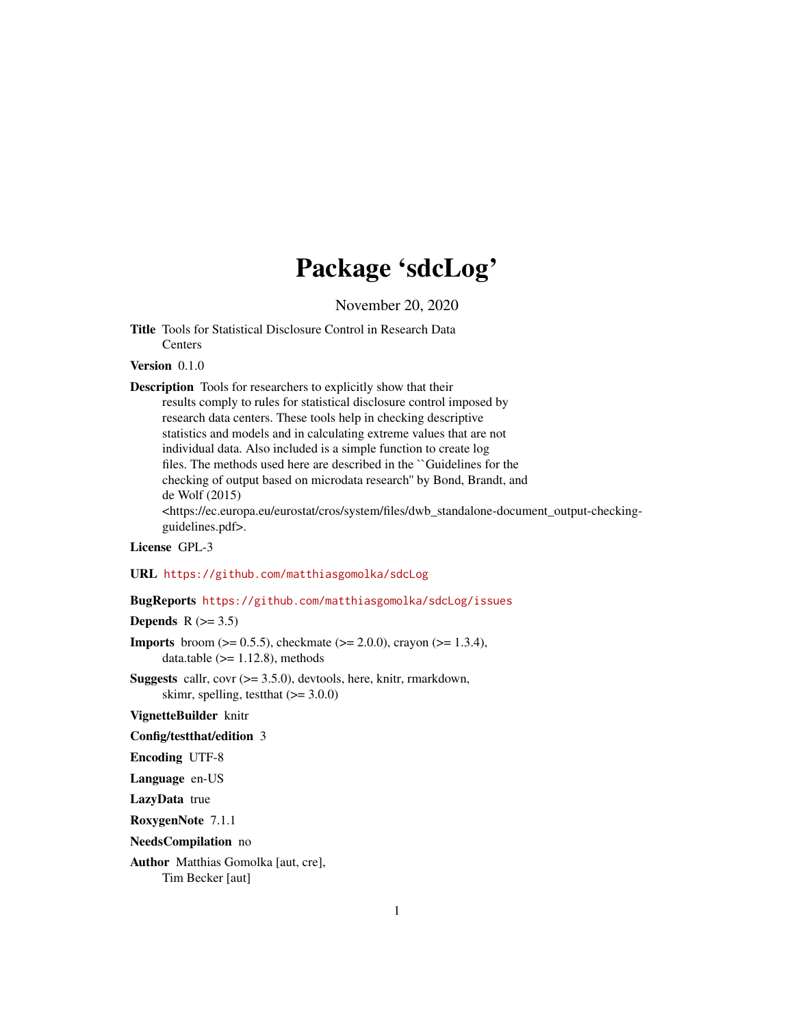### Package 'sdcLog'

November 20, 2020

<span id="page-0-0"></span>Title Tools for Statistical Disclosure Control in Research Data **Centers** 

Version 0.1.0

Description Tools for researchers to explicitly show that their results comply to rules for statistical disclosure control imposed by research data centers. These tools help in checking descriptive statistics and models and in calculating extreme values that are not individual data. Also included is a simple function to create log files. The methods used here are described in the ``Guidelines for the checking of output based on microdata research'' by Bond, Brandt, and de Wolf (2015) <https://ec.europa.eu/eurostat/cros/system/files/dwb\_standalone-document\_output-checkingguidelines.pdf>.

#### License GPL-3

URL <https://github.com/matthiasgomolka/sdcLog>

#### BugReports <https://github.com/matthiasgomolka/sdcLog/issues>

Depends  $R$  ( $>= 3.5$ )

**Imports** broom ( $>= 0.5.5$ ), checkmate ( $>= 2.0.0$ ), crayon ( $>= 1.3.4$ ), data.table  $(>= 1.12.8)$ , methods

**Suggests** callr, covr  $(>= 3.5.0)$ , devtools, here, knitr, rmarkdown, skimr, spelling, test that  $(>= 3.0.0)$ 

VignetteBuilder knitr

#### Config/testthat/edition 3

Encoding UTF-8

Language en-US

LazyData true

RoxygenNote 7.1.1

NeedsCompilation no

Author Matthias Gomolka [aut, cre], Tim Becker [aut]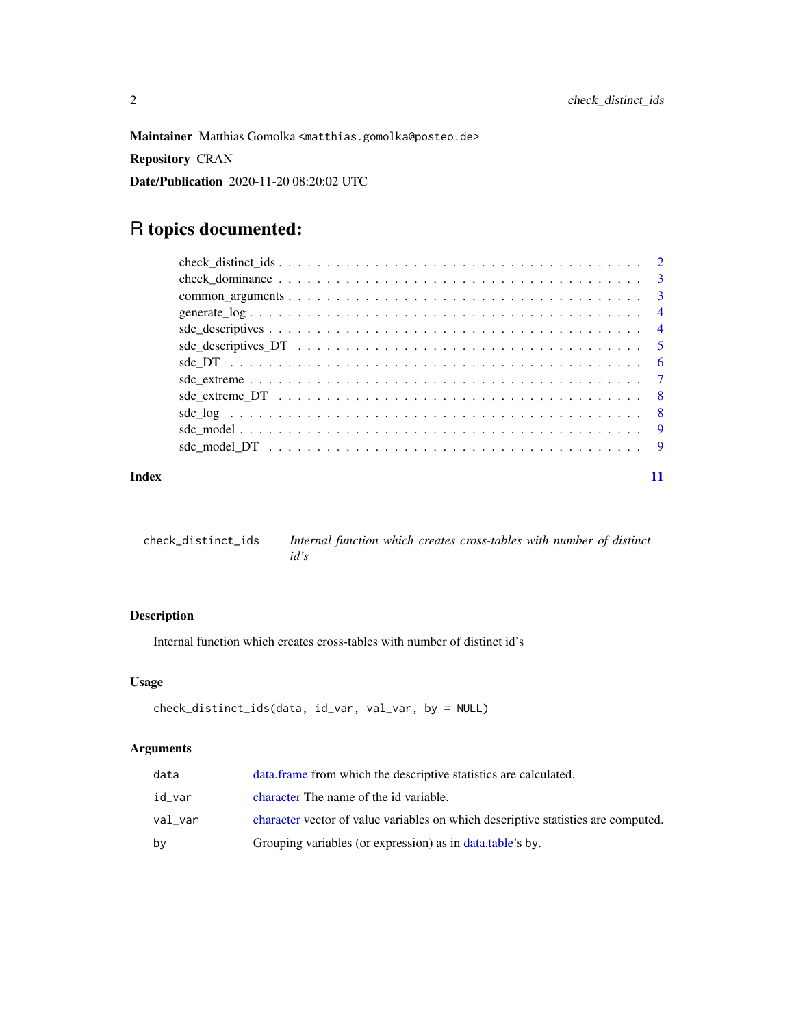<span id="page-1-0"></span>Maintainer Matthias Gomolka <matthias.gomolka@posteo.de>

Repository CRAN

Date/Publication 2020-11-20 08:20:02 UTC

### R topics documented:

|       | $sdc\_descriptives\_DT \dots \dots \dots \dots \dots \dots \dots \dots \dots \dots \dots \dots \dots \dots \dots \dots \dots \dots$ |  |
|-------|-------------------------------------------------------------------------------------------------------------------------------------|--|
|       |                                                                                                                                     |  |
|       |                                                                                                                                     |  |
|       |                                                                                                                                     |  |
|       |                                                                                                                                     |  |
|       |                                                                                                                                     |  |
|       |                                                                                                                                     |  |
| Index |                                                                                                                                     |  |

check\_distinct\_ids *Internal function which creates cross-tables with number of distinct id's*

#### Description

Internal function which creates cross-tables with number of distinct id's

#### Usage

```
check_distinct_ids(data, id_var, val_var, by = NULL)
```
#### Arguments

| data    | data frame from which the descriptive statistics are calculated.                  |
|---------|-----------------------------------------------------------------------------------|
| id var  | character The name of the id variable.                                            |
| val var | character vector of value variables on which descriptive statistics are computed. |
| bv      | Grouping variables (or expression) as in data.table's by.                         |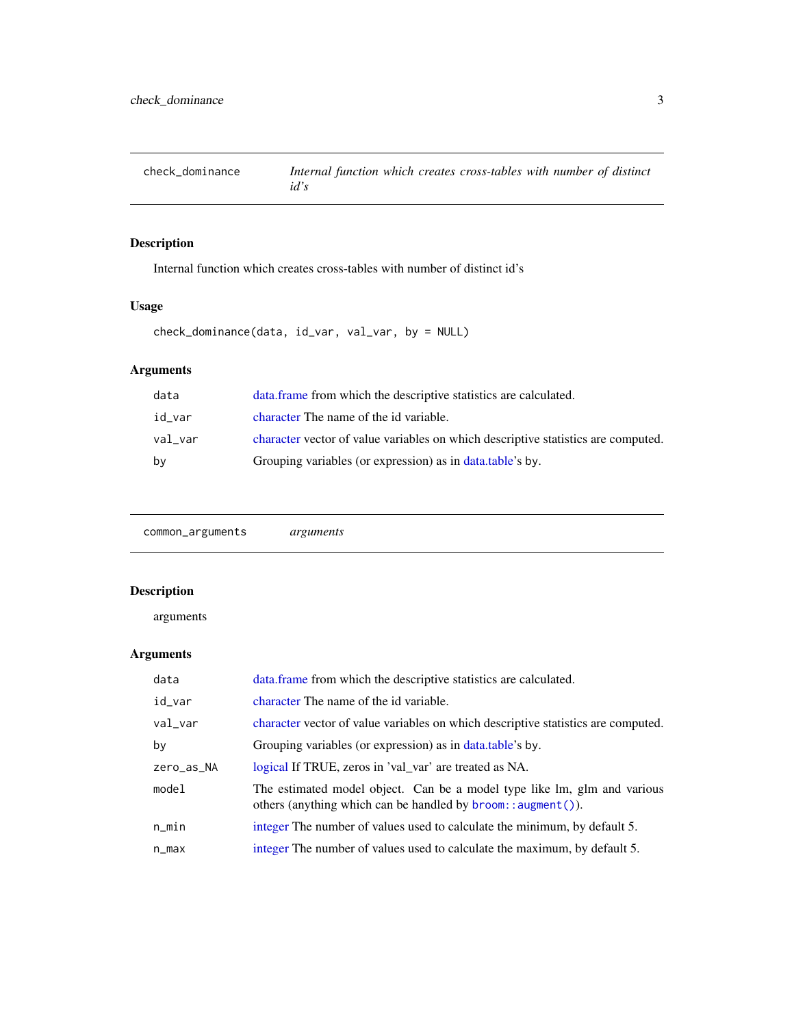<span id="page-2-0"></span>

Internal function which creates cross-tables with number of distinct id's

#### Usage

```
check_dominance(data, id_var, val_var, by = NULL)
```
### Arguments

| data    | data frame from which the descriptive statistics are calculated.                  |
|---------|-----------------------------------------------------------------------------------|
| id var  | character The name of the id variable.                                            |
| val var | character vector of value variables on which descriptive statistics are computed. |
| bv      | Grouping variables (or expression) as in data.table's by.                         |

common\_arguments *arguments*

#### Description

#### arguments

#### Arguments

| data       | data. frame from which the descriptive statistics are calculated.                                                                                        |
|------------|----------------------------------------------------------------------------------------------------------------------------------------------------------|
| id_var     | character The name of the id variable.                                                                                                                   |
| val_var    | character vector of value variables on which descriptive statistics are computed.                                                                        |
| by         | Grouping variables (or expression) as in data.table's by.                                                                                                |
| zero_as_NA | logical If TRUE, zeros in 'val_var' are treated as NA.                                                                                                   |
| model      | The estimated model object. Can be a model type like lm, glm and various<br>others (anything which can be handled by $\text{broom}: \text{augment}()$ ). |
| $n$ _min   | integer The number of values used to calculate the minimum, by default 5.                                                                                |
| n_max      | integer The number of values used to calculate the maximum, by default 5.                                                                                |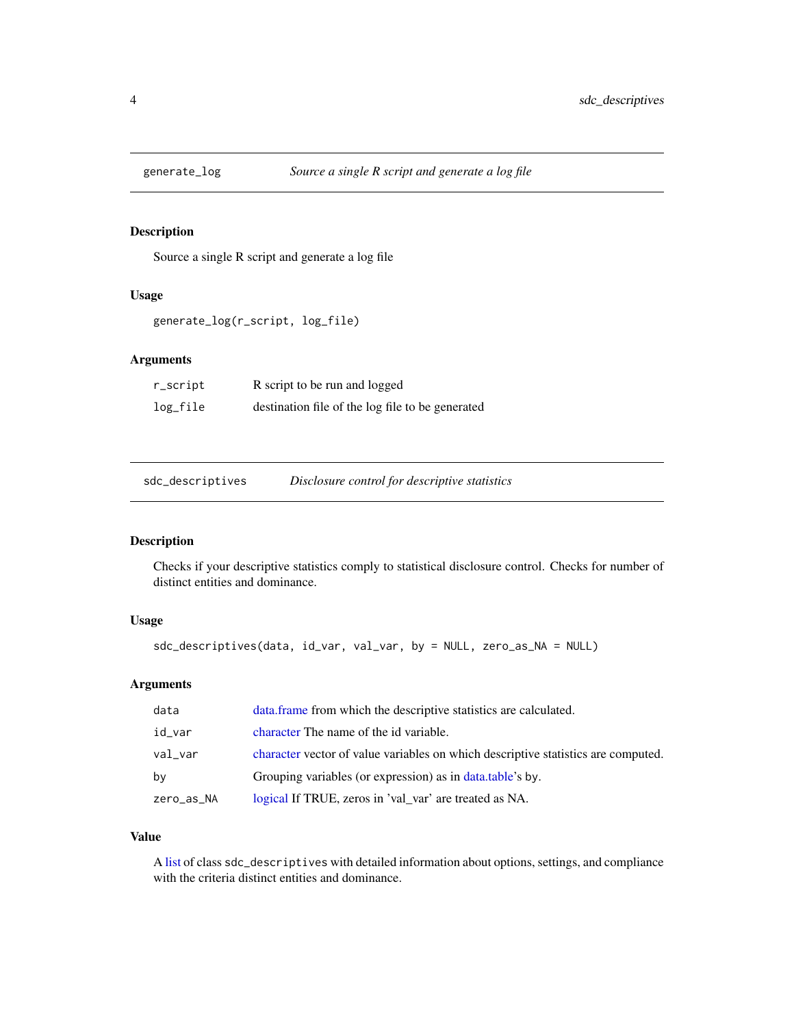<span id="page-3-0"></span>

Source a single R script and generate a log file

#### Usage

```
generate_log(r_script, log_file)
```
#### Arguments

| r_script | R script to be run and logged                    |
|----------|--------------------------------------------------|
| log_file | destination file of the log file to be generated |

| sdc_descriptives | Disclosure control for descriptive statistics |
|------------------|-----------------------------------------------|
|                  |                                               |

#### Description

Checks if your descriptive statistics comply to statistical disclosure control. Checks for number of distinct entities and dominance.

#### Usage

```
sdc_descriptives(data, id_var, val_var, by = NULL, zero_as_NA = NULL)
```
#### Arguments

| data       | data.frame from which the descriptive statistics are calculated.                  |
|------------|-----------------------------------------------------------------------------------|
| id_var     | character The name of the id variable.                                            |
| val var    | character vector of value variables on which descriptive statistics are computed. |
| bv         | Grouping variables (or expression) as in data.table's by.                         |
| zero_as_NA | logical If TRUE, zeros in 'val_var' are treated as NA.                            |

#### Value

A [list](#page-0-0) of class sdc\_descriptives with detailed information about options, settings, and compliance with the criteria distinct entities and dominance.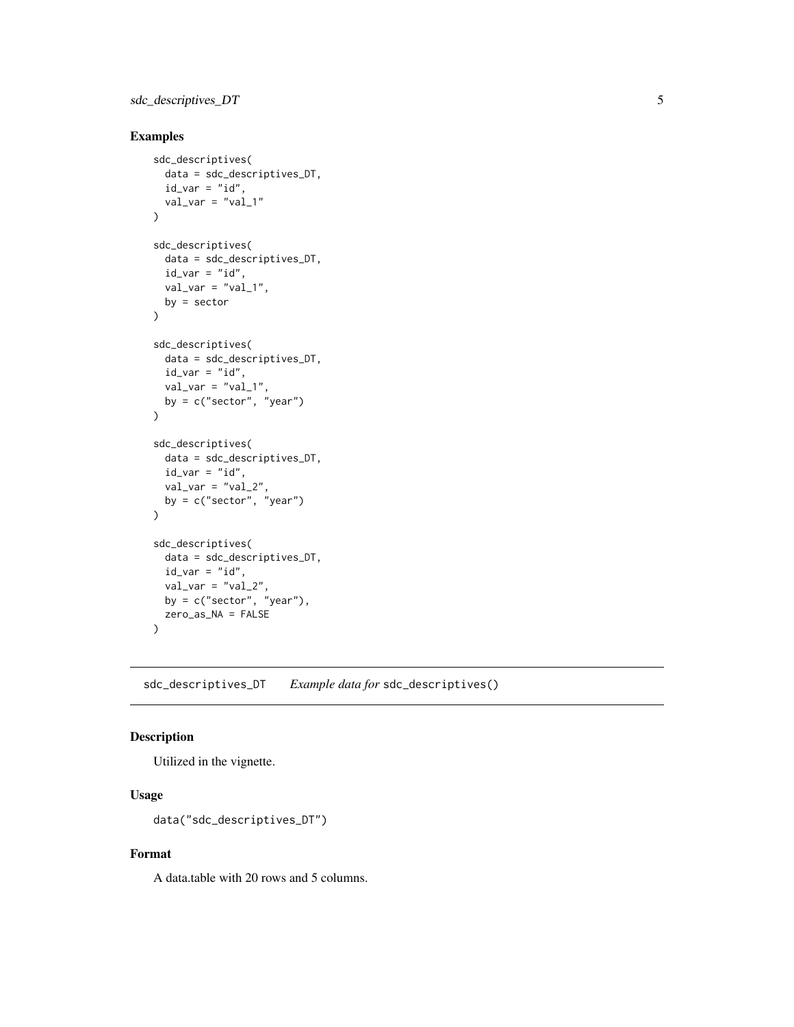#### <span id="page-4-0"></span>sdc\_descriptives\_DT 5

#### Examples

```
sdc_descriptives(
 data = sdc_descriptives_DT,
  id_{var} = "id",val\_var = "val_1"\lambdasdc_descriptives(
  data = sdc_descriptives_DT,
  id\_var = "id",val\_var = "val_1",by = sector
\lambdasdc_descriptives(
 data = sdc_descriptives_DT,
 id\_var = "id",val\_var = "val_1",by = c("sector", "year")\lambdasdc_descriptives(
  data = sdc_descriptives_DT,
  id\_var = "id",val\_var = "val_2",by = c("sector", "year")
\mathcal{L}sdc_descriptives(
 data = sdc_descriptives_DT,
 id\_var = "id",val\_var = "val_2",by = c("sector", "year"),zero_as_NA = FALSE
\mathcal{L}
```
sdc\_descriptives\_DT *Example data for* sdc\_descriptives()

#### Description

Utilized in the vignette.

#### Usage

```
data("sdc_descriptives_DT")
```
#### Format

A data.table with 20 rows and 5 columns.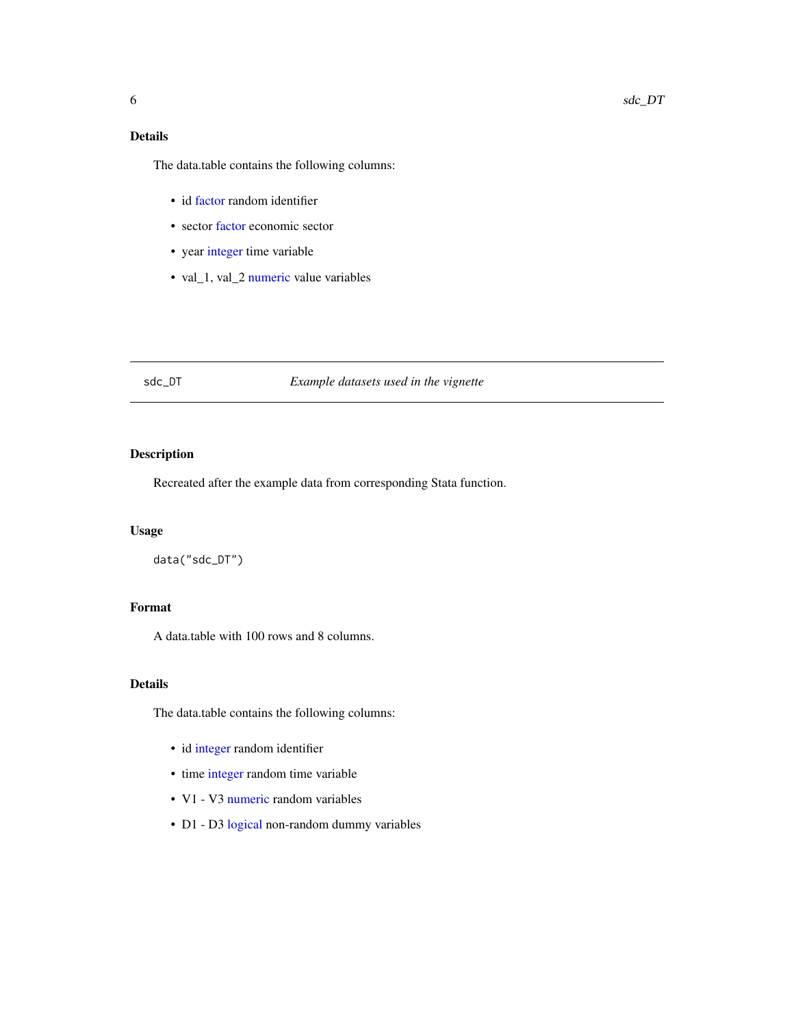#### <span id="page-5-0"></span>Details

The data.table contains the following columns:

- id [factor](#page-0-0) random identifier
- sector [factor](#page-0-0) economic sector
- year [integer](#page-0-0) time variable
- val\_1, val\_2 [numeric](#page-0-0) value variables

#### sdc\_DT *Example datasets used in the vignette*

#### Description

Recreated after the example data from corresponding Stata function.

#### Usage

data("sdc\_DT")

#### Format

A data.table with 100 rows and 8 columns.

#### Details

The data.table contains the following columns:

- id [integer](#page-0-0) random identifier
- time [integer](#page-0-0) random time variable
- V1 V3 [numeric](#page-0-0) random variables
- D1 D3 [logical](#page-0-0) non-random dummy variables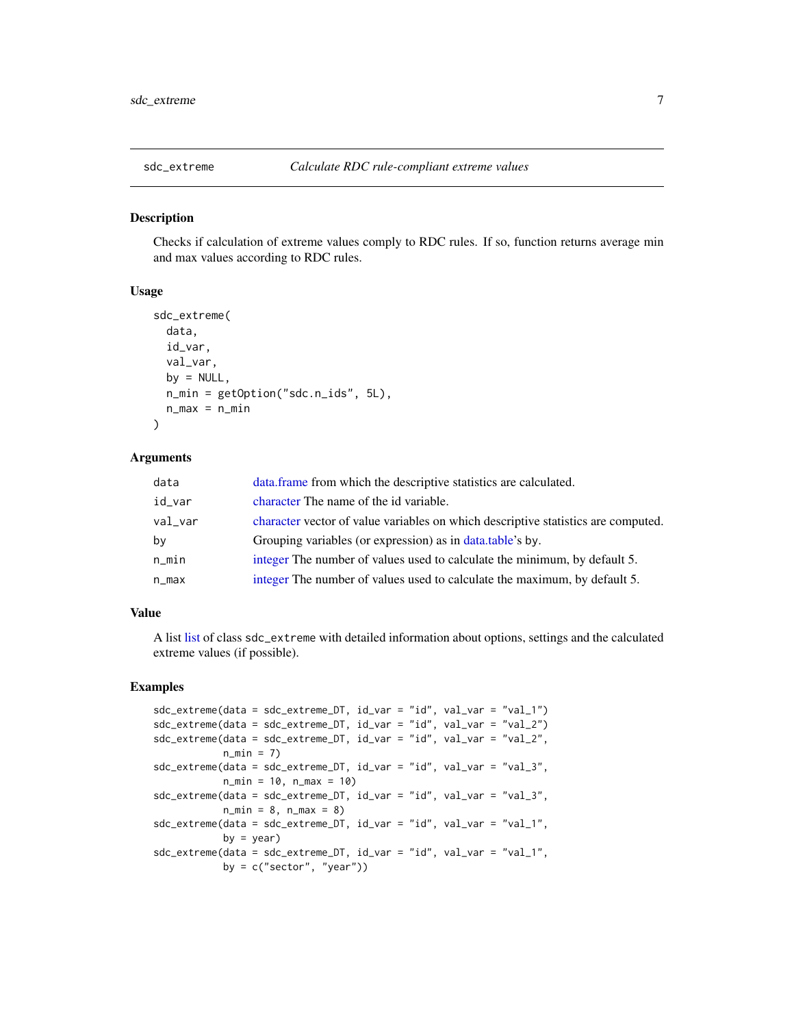<span id="page-6-0"></span>

Checks if calculation of extreme values comply to RDC rules. If so, function returns average min and max values according to RDC rules.

#### Usage

```
sdc_extreme(
  data,
  id_var,
  val_var,
 by = NULL,
  n_min = getOption("sdc.n_ids", 5L),
  n_{max} = n_{min})
```
## Arguments

| data       | data. frame from which the descriptive statistics are calculated.                 |
|------------|-----------------------------------------------------------------------------------|
| id_var     | character The name of the id variable.                                            |
| $val\_var$ | character vector of value variables on which descriptive statistics are computed. |
| by         | Grouping variables (or expression) as in data.table's by.                         |
| $n$ _min   | integer The number of values used to calculate the minimum, by default 5.         |
| n_max      | integer The number of values used to calculate the maximum, by default 5.         |

#### Value

A list [list](#page-0-0) of class sdc\_extreme with detailed information about options, settings and the calculated extreme values (if possible).

#### Examples

```
sdc_extreme(data = sdc_extreme_DT, id_var = "id", val_var = "val_1")
sdc_extreme(data = sdc_extreme_DT, id_var = "id", val_var = "val_2")
sdc_extreme(data = sdc_extreme_DT, id_var = "id", val_var = "val_2",
            n_{min} = 7sdc_extreme(data = sdc_extreme_DT, id_var = "id", val_var = "val_3",
            n_min = 10, n_max = 10)
sdc_extreme(data = sdc_extreme_DT, id_var = "id", val_var = "val_3",
           n_{min} = 8, n_{max} = 8sdc_extreme(data = sdc_extreme_DT, id_var = "id", val_var = "val_1",
           by = year)
sdc_extreme(data = sdc_extreme_DT, id_var = "id", val_var = "val_1",
            by = c("sector", "year")
```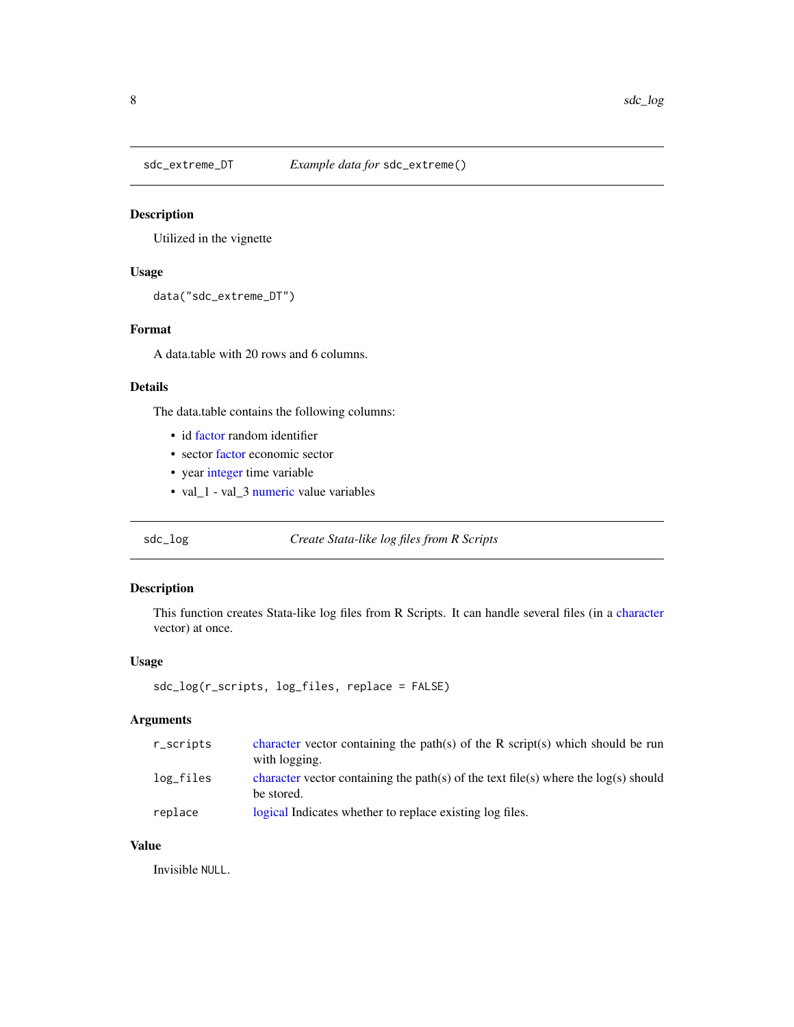<span id="page-7-0"></span>

Utilized in the vignette

#### Usage

```
data("sdc_extreme_DT")
```
#### Format

A data.table with 20 rows and 6 columns.

#### Details

The data.table contains the following columns:

- id [factor](#page-0-0) random identifier
- sector [factor](#page-0-0) economic sector
- year [integer](#page-0-0) time variable
- val\_1 val\_3 [numeric](#page-0-0) value variables

sdc\_log *Create Stata-like log files from R Scripts*

#### Description

This function creates Stata-like log files from R Scripts. It can handle several files (in a [character](#page-0-0) vector) at once.

#### Usage

```
sdc_log(r_scripts, log_files, replace = FALSE)
```
#### Arguments

| r_scripts | character vector containing the path(s) of the R script(s) which should be run<br>with logging.     |
|-----------|-----------------------------------------------------------------------------------------------------|
| log_files | character vector containing the path(s) of the text file(s) where the $log(s)$ should<br>be stored. |
| replace   | logical Indicates whether to replace existing log files.                                            |

#### Value

Invisible NULL.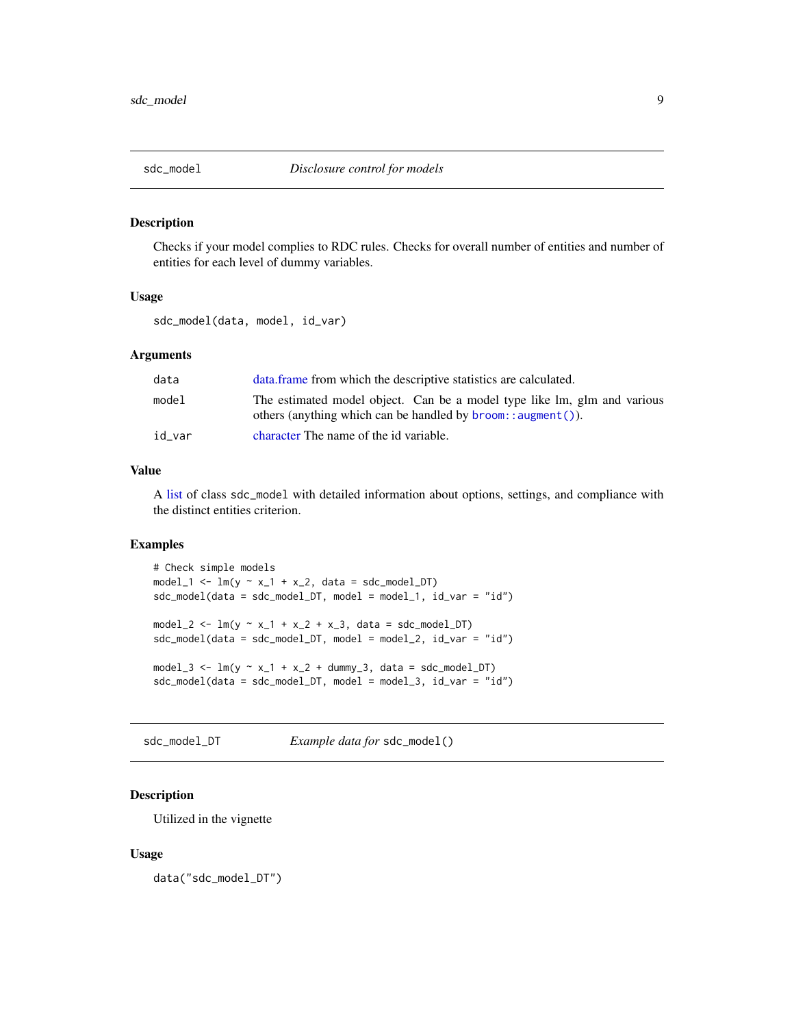<span id="page-8-0"></span>

Checks if your model complies to RDC rules. Checks for overall number of entities and number of entities for each level of dummy variables.

#### Usage

sdc\_model(data, model, id\_var)

#### Arguments

| data   | data frame from which the descriptive statistics are calculated.                                                                               |
|--------|------------------------------------------------------------------------------------------------------------------------------------------------|
| model  | The estimated model object. Can be a model type like lm, glm and various<br>others (anything which can be handled by $b$ room:: $a$ ugment()). |
| id var | character The name of the id variable.                                                                                                         |

#### Value

A [list](#page-0-0) of class sdc\_model with detailed information about options, settings, and compliance with the distinct entities criterion.

#### Examples

```
# Check simple models
model_1 \leftarrow lm(y \sim x_1 + x_2, data = sdc_model_D T)sdc_model(data = sdc_model_DT, model = model_1, id_var = "id")
model_2 <- lm(y \sim x_1 + x_2 + x_3), data = sdc_model_DT)
sdc_model(data = sdc_model_DT, model = model_2, id_var = "id")
model_3 <- lm(y \sim x_1 + x_2 + dummy_3, data = sdc_model_DT)sdc_model(data = sdc_model_DT, model = model_3, id_var = "id")
```
sdc\_model\_DT *Example data for* sdc\_model()

#### Description

Utilized in the vignette

#### Usage

data("sdc\_model\_DT")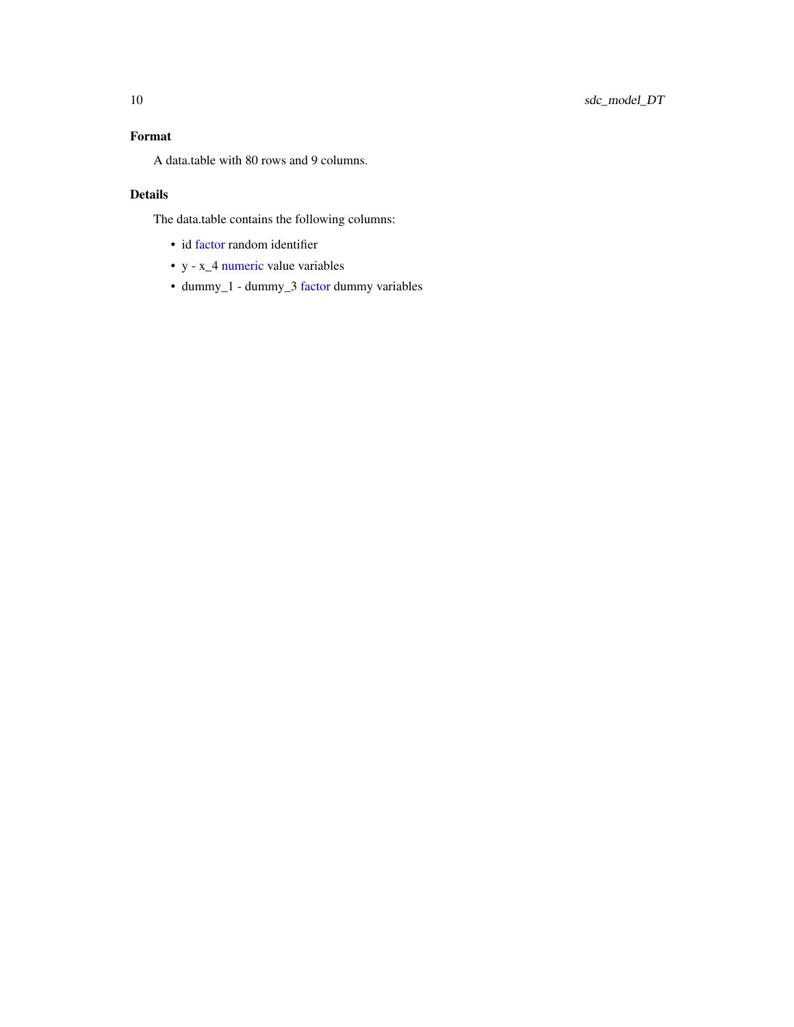#### <span id="page-9-0"></span>Format

A data.table with 80 rows and 9 columns.

#### Details

The data.table contains the following columns:

- id [factor](#page-0-0) random identifier
- y x\_4 [numeric](#page-0-0) value variables
- dummy\_1 dummy\_3 [factor](#page-0-0) dummy variables